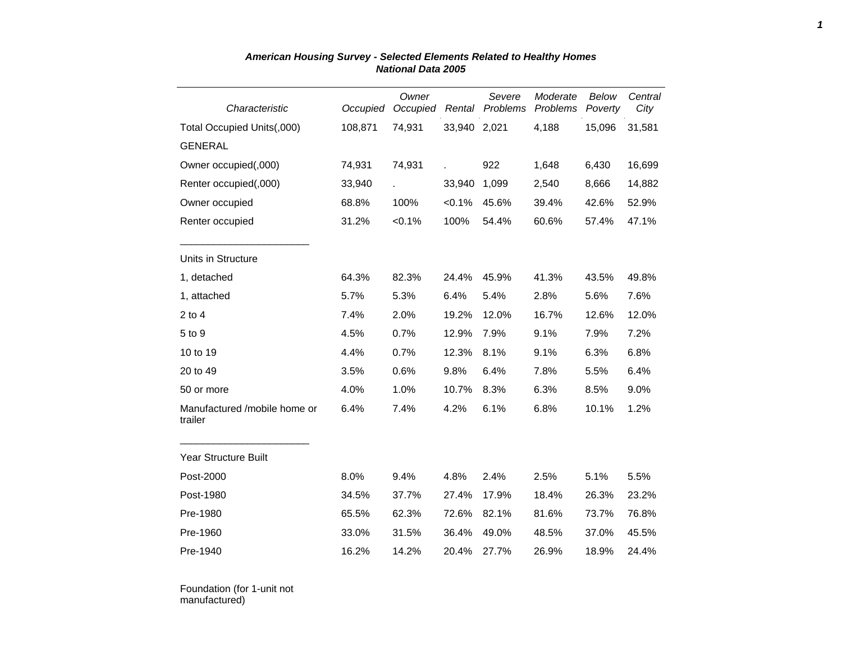| Characteristic                          | Occupied | Owner<br>Occupied<br>Rental |              | Severe<br>Problems | Moderate<br>Problems | Below<br>Poverty | Central<br>City |
|-----------------------------------------|----------|-----------------------------|--------------|--------------------|----------------------|------------------|-----------------|
| Total Occupied Units(,000)              | 108,871  | 74,931                      | 33,940 2,021 |                    | 4,188                | 15,096           | 31,581          |
| <b>GENERAL</b>                          |          |                             |              |                    |                      |                  |                 |
| Owner occupied(,000)                    | 74,931   | 74,931                      |              | 922                | 1,648                | 6,430            | 16,699          |
| Renter occupied(,000)                   | 33,940   |                             | 33,940       | 1,099              | 2,540                | 8,666            | 14,882          |
| Owner occupied                          | 68.8%    | 100%                        | $< 0.1\%$    | 45.6%              | 39.4%                | 42.6%            | 52.9%           |
| Renter occupied                         | 31.2%    | $< 0.1\%$                   | 100%         | 54.4%              | 60.6%                | 57.4%            | 47.1%           |
| Units in Structure                      |          |                             |              |                    |                      |                  |                 |
| 1, detached                             | 64.3%    | 82.3%                       | 24.4%        | 45.9%              | 41.3%                | 43.5%            | 49.8%           |
| 1, attached                             | 5.7%     | 5.3%                        | 6.4%         | 5.4%               | 2.8%                 | 5.6%             | 7.6%            |
| $2$ to $4$                              | 7.4%     | 2.0%                        | 19.2%        | 12.0%              | 16.7%                | 12.6%            | 12.0%           |
| 5 to 9                                  | 4.5%     | 0.7%                        | 12.9%        | 7.9%               | 9.1%                 | 7.9%             | 7.2%            |
| 10 to 19                                | 4.4%     | 0.7%                        | 12.3%        | 8.1%               | 9.1%                 | 6.3%             | 6.8%            |
| 20 to 49                                | 3.5%     | 0.6%                        | 9.8%         | 6.4%               | 7.8%                 | 5.5%             | 6.4%            |
| 50 or more                              | 4.0%     | 1.0%                        | 10.7%        | 8.3%               | 6.3%                 | 8.5%             | 9.0%            |
| Manufactured /mobile home or<br>trailer | 6.4%     | 7.4%                        | 4.2%         | 6.1%               | 6.8%                 | 10.1%            | 1.2%            |
| <b>Year Structure Built</b>             |          |                             |              |                    |                      |                  |                 |
| Post-2000                               | 8.0%     | 9.4%                        | 4.8%         | 2.4%               | 2.5%                 | 5.1%             | 5.5%            |
| Post-1980                               | 34.5%    | 37.7%                       | 27.4%        | 17.9%              | 18.4%                | 26.3%            | 23.2%           |
| Pre-1980                                | 65.5%    | 62.3%                       | 72.6%        | 82.1%              | 81.6%                | 73.7%            | 76.8%           |
| Pre-1960                                | 33.0%    | 31.5%                       | 36.4%        | 49.0%              | 48.5%                | 37.0%            | 45.5%           |
| Pre-1940                                | 16.2%    | 14.2%                       | 20.4%        | 27.7%              | 26.9%                | 18.9%            | 24.4%           |

## *American Housing Survey - Selected Elements Related to Healthy Homes National Data 2005*

Foundation (for 1-unit not manufactured)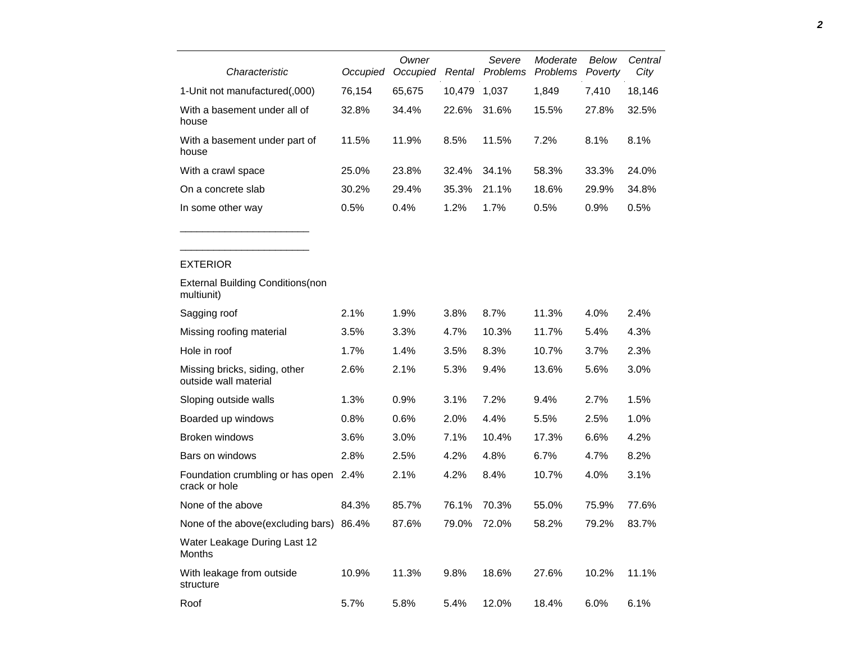| Characteristic                                                                                                                                                                                                                                                                                  | Occupied | Owner<br>Occupied Rental |                                                   | Severe<br>Problems       | Moderate<br>Problems | Below<br>Poverty         | Central<br>City |
|-------------------------------------------------------------------------------------------------------------------------------------------------------------------------------------------------------------------------------------------------------------------------------------------------|----------|--------------------------|---------------------------------------------------|--------------------------|----------------------|--------------------------|-----------------|
| 1-Unit not manufactured(,000)                                                                                                                                                                                                                                                                   | 76,154   | 65,675                   | 10,479                                            | 1,037                    | 1,849                | 7,410                    | 18,146          |
| With a basement under all of<br>house                                                                                                                                                                                                                                                           | 32.8%    | 34.4%                    | 22.6%                                             | 31.6%                    | 15.5%                | 27.8%                    | 32.5%           |
| With a basement under part of<br>house                                                                                                                                                                                                                                                          | 11.5%    | 11.9%                    | 8.5%                                              | 11.5%                    | 7.2%                 | 8.1%                     | 8.1%            |
| With a crawl space                                                                                                                                                                                                                                                                              | 25.0%    | 23.8%                    | 32.4%                                             | 34.1%                    | 58.3%                | 33.3%                    | 24.0%           |
| On a concrete slab                                                                                                                                                                                                                                                                              | 30.2%    | 29.4%                    | 35.3%                                             | 21.1%                    | 18.6%                | 29.9%                    | 34.8%           |
| In some other way                                                                                                                                                                                                                                                                               | 0.5%     | 0.4%                     | 1.2%                                              | 1.7%                     | 0.5%                 | 0.9%                     | 0.5%            |
|                                                                                                                                                                                                                                                                                                 |          |                          |                                                   |                          |                      |                          |                 |
| <b>EXTERIOR</b>                                                                                                                                                                                                                                                                                 |          |                          |                                                   |                          |                      |                          |                 |
| <b>External Building Conditions (non</b><br>multiunit)                                                                                                                                                                                                                                          |          |                          |                                                   |                          |                      |                          |                 |
| Sagging roof                                                                                                                                                                                                                                                                                    | 2.1%     | 1.9%                     | 3.8%                                              | 8.7%                     | 11.3%                | 4.0%                     | 2.4%            |
| Missing roofing material                                                                                                                                                                                                                                                                        | 3.5%     | 3.3%                     | 4.7%                                              | 10.3%                    | 11.7%                | 5.4%                     | 4.3%            |
| Hole in roof                                                                                                                                                                                                                                                                                    | 1.7%     | 1.4%                     | 3.5%                                              | 8.3%                     | 10.7%                | 3.7%                     | 2.3%            |
| Missing bricks, siding, other<br>outside wall material                                                                                                                                                                                                                                          | 2.6%     | 2.1%                     | 5.3%                                              | 9.4%                     | 13.6%                | 5.6%                     | 3.0%            |
| Sloping outside walls                                                                                                                                                                                                                                                                           | 1.3%     | 0.9%                     | 3.1%                                              | 7.2%                     | 9.4%                 | 2.7%                     | 1.5%            |
| Boarded up windows                                                                                                                                                                                                                                                                              | 0.8%     | 0.6%                     | 2.0%                                              | 4.4%                     | 5.5%                 | 2.5%                     | 1.0%            |
| Broken windows                                                                                                                                                                                                                                                                                  | 3.6%     | 3.0%                     | 7.1%                                              | 10.4%                    | 17.3%                | 6.6%                     | 4.2%            |
| Bars on windows                                                                                                                                                                                                                                                                                 | 2.8%     | 2.5%                     | 4.2%                                              | 4.8%                     | 6.7%                 | 4.7%                     | 8.2%            |
| Foundation crumbling or has open 2.4%<br>crack or hole                                                                                                                                                                                                                                          |          | 2.1%                     | 4.2%                                              | 8.4%                     | 10.7%                | 4.0%                     | 3.1%            |
| None of the above                                                                                                                                                                                                                                                                               | 84.3%    | 85.7%                    | 76.1%                                             | 70.3%                    | 55.0%                | 75.9%                    | 77.6%           |
| $\mathbf{r}$ at $\mathbf{r}$ and $\mathbf{r}$ and $\mathbf{r}$ and $\mathbf{r}$ and $\mathbf{r}$ and $\mathbf{r}$ and $\mathbf{r}$ and $\mathbf{r}$ and $\mathbf{r}$ and $\mathbf{r}$ and $\mathbf{r}$ and $\mathbf{r}$ and $\mathbf{r}$ and $\mathbf{r}$ and $\mathbf{r}$ and $\mathbf{r}$ and |          | $\sim$ $\sim$ $\sim$     | $\overline{\phantom{a}}$ $\overline{\phantom{a}}$ | $\overline{\phantom{a}}$ | $\sim$ $\sim$        | $\overline{\phantom{a}}$ | $00 - 70$       |

| None of the above                        | 84.3% | 85.7% | 76.1% 70.3% |       | 55.0% | 75.9%    | 77.6% |
|------------------------------------------|-------|-------|-------------|-------|-------|----------|-------|
| None of the above (excluding bars) 86.4% |       | 87.6% | 79.0%       | 72.0% | 58.2% | 79.2%    | 83.7% |
| Water Leakage During Last 12<br>Months   |       |       |             |       |       |          |       |
| With leakage from outside<br>structure   | 10.9% | 11.3% | 9.8%        | 18.6% | 27.6% | $10.2\%$ | 11.1% |
| Roof                                     | 5.7%  | 5.8%  | 5.4%        | 12.0% | 18.4% | $6.0\%$  | 6.1%  |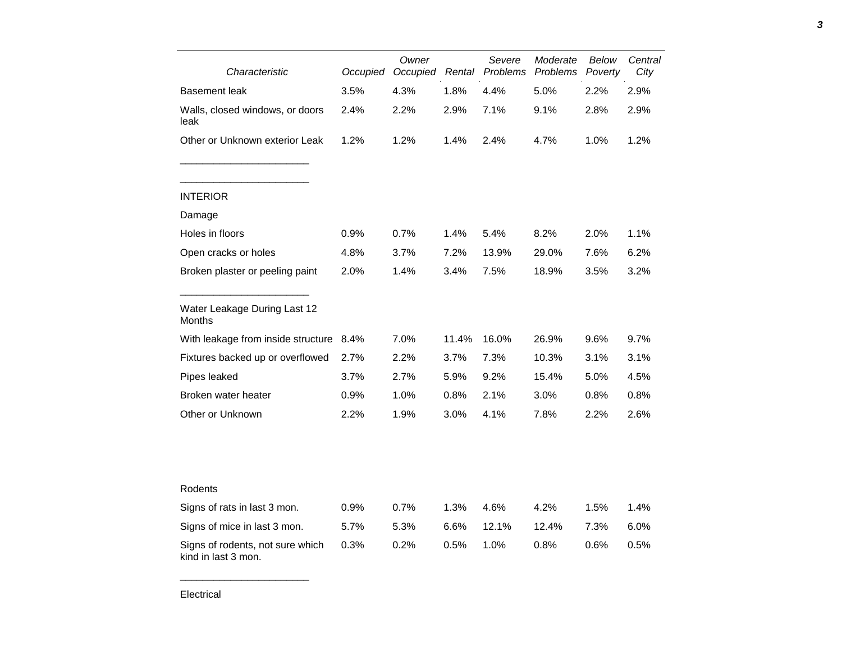| Characteristic                                          | Owner<br>Occupied<br>Occupied |      | Severe<br>Rental Problems | Moderate<br><b>Problems</b> | Below<br>Poverty | Central<br>City |      |
|---------------------------------------------------------|-------------------------------|------|---------------------------|-----------------------------|------------------|-----------------|------|
| <b>Basement</b> leak                                    | 3.5%                          | 4.3% | 1.8%                      | 4.4%                        | 5.0%             | 2.2%            | 2.9% |
| Walls, closed windows, or doors<br>leak                 | 2.4%                          | 2.2% | 2.9%                      | 7.1%                        | 9.1%             | 2.8%            | 2.9% |
| Other or Unknown exterior Leak                          | 1.2%                          | 1.2% | 1.4%                      | 2.4%                        | 4.7%             | 1.0%            | 1.2% |
| <b>INTERIOR</b>                                         |                               |      |                           |                             |                  |                 |      |
| Damage                                                  |                               |      |                           |                             |                  |                 |      |
| Holes in floors                                         | 0.9%                          | 0.7% | 1.4%                      | 5.4%                        | 8.2%             | 2.0%            | 1.1% |
| Open cracks or holes                                    | 4.8%                          | 3.7% | 7.2%                      | 13.9%                       | 29.0%            | 7.6%            | 6.2% |
| Broken plaster or peeling paint                         | 2.0%                          | 1.4% | 3.4%                      | 7.5%                        | 18.9%            | 3.5%            | 3.2% |
| Water Leakage During Last 12<br>Months                  |                               |      |                           |                             |                  |                 |      |
| With leakage from inside structure                      | 8.4%                          | 7.0% | 11.4%                     | 16.0%                       | 26.9%            | 9.6%            | 9.7% |
| Fixtures backed up or overflowed                        | 2.7%                          | 2.2% | 3.7%                      | 7.3%                        | 10.3%            | 3.1%            | 3.1% |
| Pipes leaked                                            | 3.7%                          | 2.7% | 5.9%                      | 9.2%                        | 15.4%            | 5.0%            | 4.5% |
| Broken water heater                                     | 0.9%                          | 1.0% | 0.8%                      | 2.1%                        | 3.0%             | 0.8%            | 0.8% |
| Other or Unknown                                        | 2.2%                          | 1.9% | $3.0\%$                   | 4.1%                        | 7.8%             | 2.2%            | 2.6% |
|                                                         |                               |      |                           |                             |                  |                 |      |
| Rodents                                                 |                               |      |                           |                             |                  |                 |      |
| Signs of rats in last 3 mon.                            | 0.9%                          | 0.7% | 1.3%                      | 4.6%                        | 4.2%             | 1.5%            | 1.4% |
| Signs of mice in last 3 mon.                            | 5.7%                          | 5.3% | 6.6%                      | 12.1%                       | 12.4%            | 7.3%            | 6.0% |
| Signs of rodents, not sure which<br>kind in last 3 mon. | 0.3%                          | 0.2% | 0.5%                      | 1.0%                        | 0.8%             | 0.6%            | 0.5% |

\_\_\_\_\_\_\_\_\_\_\_\_\_\_\_\_\_\_\_\_\_\_\_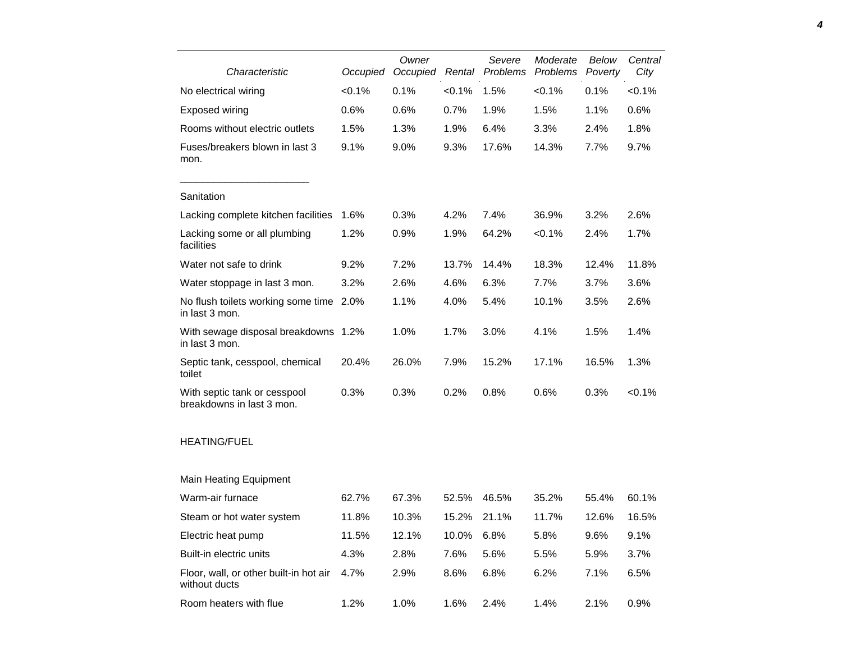| Characteristic                                            | Occupied  | Owner<br>Occupied | Rental | Severe<br>Problems | Moderate<br>Problems | Below<br>Poverty | Central<br>City |
|-----------------------------------------------------------|-----------|-------------------|--------|--------------------|----------------------|------------------|-----------------|
| No electrical wiring                                      | $< 0.1\%$ | 0.1%              | < 0.1% | 1.5%               | < 0.1%               | 0.1%             | $< 0.1\%$       |
| <b>Exposed wiring</b>                                     | 0.6%      | 0.6%              | 0.7%   | 1.9%               | 1.5%                 | 1.1%             | 0.6%            |
| Rooms without electric outlets                            | 1.5%      | 1.3%              | 1.9%   | 6.4%               | 3.3%                 | 2.4%             | 1.8%            |
| Fuses/breakers blown in last 3<br>mon.                    | 9.1%      | 9.0%              | 9.3%   | 17.6%              | 14.3%                | 7.7%             | 9.7%            |
| Sanitation                                                |           |                   |        |                    |                      |                  |                 |
| Lacking complete kitchen facilities                       | 1.6%      | 0.3%              | 4.2%   | 7.4%               | 36.9%                | 3.2%             | 2.6%            |
| Lacking some or all plumbing<br>facilities                | 1.2%      | 0.9%              | 1.9%   | 64.2%              | < 0.1%               | 2.4%             | 1.7%            |
| Water not safe to drink                                   | 9.2%      | 7.2%              | 13.7%  | 14.4%              | 18.3%                | 12.4%            | 11.8%           |
| Water stoppage in last 3 mon.                             | 3.2%      | 2.6%              | 4.6%   | 6.3%               | 7.7%                 | 3.7%             | 3.6%            |
| No flush toilets working some time<br>in last 3 mon.      | 2.0%      | 1.1%              | 4.0%   | 5.4%               | 10.1%                | 3.5%             | 2.6%            |
| With sewage disposal breakdowns 1.2%<br>in last 3 mon.    |           | 1.0%              | 1.7%   | 3.0%               | 4.1%                 | 1.5%             | 1.4%            |
| Septic tank, cesspool, chemical<br>toilet                 | 20.4%     | 26.0%             | 7.9%   | 15.2%              | 17.1%                | 16.5%            | 1.3%            |
| With septic tank or cesspool<br>breakdowns in last 3 mon. | 0.3%      | 0.3%              | 0.2%   | 0.8%               | 0.6%                 | 0.3%             | $< 0.1\%$       |
| <b>HEATING/FUEL</b>                                       |           |                   |        |                    |                      |                  |                 |
| <b>Main Heating Equipment</b>                             |           |                   |        |                    |                      |                  |                 |
| Warm-air furnace                                          | 62.7%     | 67.3%             | 52.5%  | 46.5%              | 35.2%                | 55.4%            | 60.1%           |
| Steam or hot water system                                 | 11.8%     | 10.3%             | 15.2%  | 21.1%              | 11.7%                | 12.6%            | 16.5%           |
| Electric heat pump                                        | 11.5%     | 12.1%             | 10.0%  | 6.8%               | 5.8%                 | 9.6%             | 9.1%            |
| Built-in electric units                                   | 4.3%      | 2.8%              | 7.6%   | 5.6%               | 5.5%                 | 5.9%             | 3.7%            |
| Floor, wall, or other built-in hot air<br>without ducts   | 4.7%      | 2.9%              | 8.6%   | 6.8%               | 6.2%                 | 7.1%             | 6.5%            |
| Room heaters with flue                                    | 1.2%      | 1.0%              | 1.6%   | 2.4%               | 1.4%                 | 2.1%             | 0.9%            |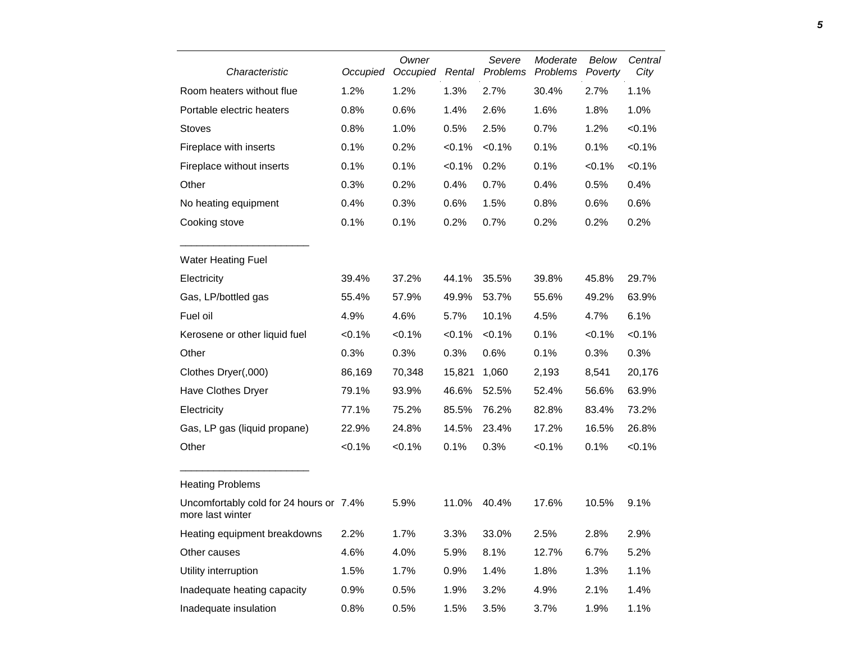| Characteristic                                              | Occupied | Owner<br>Occupied | Rental    | Severe<br>Problems | Moderate<br>Problems | Below<br>Poverty | Central<br>City |
|-------------------------------------------------------------|----------|-------------------|-----------|--------------------|----------------------|------------------|-----------------|
| Room heaters without flue                                   | 1.2%     | 1.2%              | 1.3%      | 2.7%               | 30.4%                | 2.7%             | 1.1%            |
| Portable electric heaters                                   | 0.8%     | 0.6%              | 1.4%      | 2.6%               | 1.6%                 | 1.8%             | 1.0%            |
| <b>Stoves</b>                                               | 0.8%     | 1.0%              | 0.5%      | 2.5%               | 0.7%                 | 1.2%             | $< 0.1\%$       |
| Fireplace with inserts                                      | 0.1%     | 0.2%              | < 0.1%    | $< 0.1\%$          | 0.1%                 | 0.1%             | < 0.1%          |
| Fireplace without inserts                                   | 0.1%     | 0.1%              | $< 0.1\%$ | 0.2%               | 0.1%                 | < 0.1%           | < 0.1%          |
| Other                                                       | 0.3%     | 0.2%              | 0.4%      | 0.7%               | 0.4%                 | 0.5%             | 0.4%            |
| No heating equipment                                        | 0.4%     | 0.3%              | 0.6%      | 1.5%               | 0.8%                 | 0.6%             | 0.6%            |
| Cooking stove                                               | 0.1%     | 0.1%              | 0.2%      | 0.7%               | 0.2%                 | 0.2%             | 0.2%            |
| <b>Water Heating Fuel</b>                                   |          |                   |           |                    |                      |                  |                 |
| Electricity                                                 | 39.4%    | 37.2%             | 44.1%     | 35.5%              | 39.8%                | 45.8%            | 29.7%           |
| Gas, LP/bottled gas                                         | 55.4%    | 57.9%             | 49.9%     | 53.7%              | 55.6%                | 49.2%            | 63.9%           |
| Fuel oil                                                    | 4.9%     | 4.6%              | 5.7%      | 10.1%              | 4.5%                 | 4.7%             | 6.1%            |
| Kerosene or other liquid fuel                               | < 0.1%   | < 0.1%            | $< 0.1\%$ | < 0.1%             | 0.1%                 | $< 0.1\%$        | $< 0.1\%$       |
| Other                                                       | 0.3%     | 0.3%              | 0.3%      | 0.6%               | 0.1%                 | 0.3%             | 0.3%            |
| Clothes Dryer(,000)                                         | 86,169   | 70,348            | 15,821    | 1,060              | 2,193                | 8,541            | 20,176          |
| Have Clothes Dryer                                          | 79.1%    | 93.9%             | 46.6%     | 52.5%              | 52.4%                | 56.6%            | 63.9%           |
| Electricity                                                 | 77.1%    | 75.2%             | 85.5%     | 76.2%              | 82.8%                | 83.4%            | 73.2%           |
| Gas, LP gas (liquid propane)                                | 22.9%    | 24.8%             | 14.5%     | 23.4%              | 17.2%                | 16.5%            | 26.8%           |
| Other                                                       | < 0.1%   | < 0.1%            | 0.1%      | 0.3%               | < 0.1%               | 0.1%             | $< 0.1\%$       |
| <b>Heating Problems</b>                                     |          |                   |           |                    |                      |                  |                 |
| Uncomfortably cold for 24 hours or 7.4%<br>more last winter |          | 5.9%              | 11.0%     | 40.4%              | 17.6%                | 10.5%            | 9.1%            |
| Heating equipment breakdowns                                | 2.2%     | 1.7%              | 3.3%      | 33.0%              | 2.5%                 | 2.8%             | 2.9%            |
| Other causes                                                | 4.6%     | 4.0%              | 5.9%      | 8.1%               | 12.7%                | 6.7%             | 5.2%            |
| Utility interruption                                        | 1.5%     | 1.7%              | 0.9%      | 1.4%               | 1.8%                 | 1.3%             | 1.1%            |
| Inadequate heating capacity                                 | 0.9%     | 0.5%              | 1.9%      | 3.2%               | 4.9%                 | 2.1%             | 1.4%            |
| Inadequate insulation                                       | 0.8%     | 0.5%              | 1.5%      | 3.5%               | 3.7%                 | 1.9%             | 1.1%            |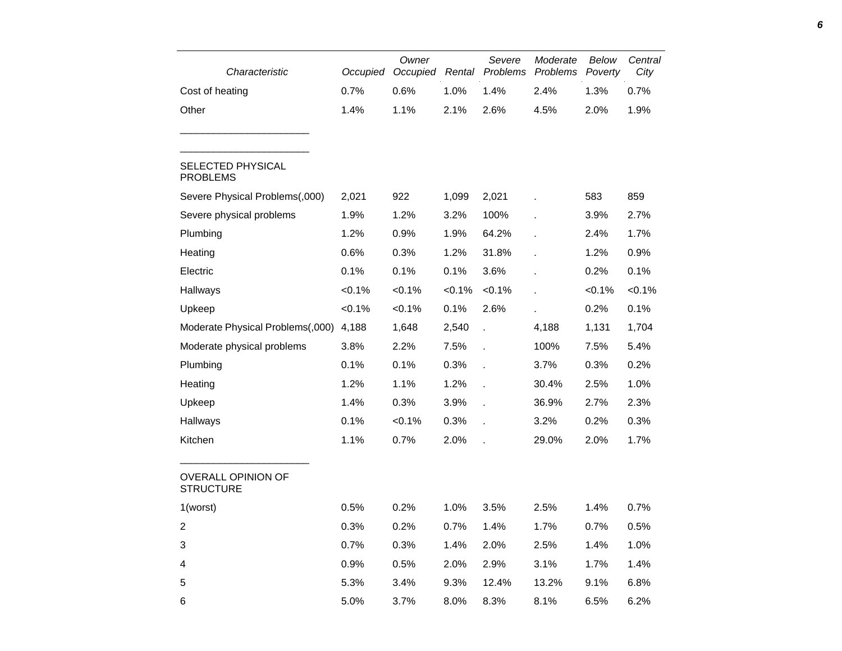| Characteristic                                | Occupied  | Owner<br>Occupied | Rental    | Severe<br>Problems | Moderate<br>Problems | Below<br>Poverty | Central<br>City |
|-----------------------------------------------|-----------|-------------------|-----------|--------------------|----------------------|------------------|-----------------|
| Cost of heating                               | 0.7%      | 0.6%              | 1.0%      | 1.4%               | 2.4%                 | 1.3%             | 0.7%            |
| Other                                         | 1.4%      | 1.1%              | 2.1%      | 2.6%               | 4.5%                 | 2.0%             | 1.9%            |
| <b>SELECTED PHYSICAL</b><br><b>PROBLEMS</b>   |           |                   |           |                    |                      |                  |                 |
| Severe Physical Problems(,000)                | 2,021     | 922               | 1,099     | 2,021              |                      | 583              | 859             |
| Severe physical problems                      | 1.9%      | 1.2%              | 3.2%      | 100%               |                      | 3.9%             | 2.7%            |
| Plumbing                                      | 1.2%      | 0.9%              | 1.9%      | 64.2%              |                      | 2.4%             | 1.7%            |
| Heating                                       | 0.6%      | 0.3%              | 1.2%      | 31.8%              |                      | 1.2%             | 0.9%            |
| Electric                                      | 0.1%      | 0.1%              | 0.1%      | 3.6%               |                      | 0.2%             | 0.1%            |
| Hallways                                      | $< 0.1\%$ | $< 0.1\%$         | $< 0.1\%$ | $< 0.1\%$          |                      | $< 0.1\%$        | $< 0.1\%$       |
| Upkeep                                        | $< 0.1\%$ | $< 0.1\%$         | 0.1%      | 2.6%               |                      | 0.2%             | 0.1%            |
| Moderate Physical Problems(,000)              | 4,188     | 1,648             | 2,540     |                    | 4,188                | 1,131            | 1,704           |
| Moderate physical problems                    | 3.8%      | 2.2%              | 7.5%      |                    | 100%                 | 7.5%             | 5.4%            |
| Plumbing                                      | 0.1%      | 0.1%              | 0.3%      |                    | 3.7%                 | 0.3%             | 0.2%            |
| Heating                                       | 1.2%      | 1.1%              | 1.2%      |                    | 30.4%                | 2.5%             | 1.0%            |
| Upkeep                                        | 1.4%      | 0.3%              | 3.9%      |                    | 36.9%                | 2.7%             | 2.3%            |
| Hallways                                      | 0.1%      | $< 0.1\%$         | 0.3%      |                    | 3.2%                 | 0.2%             | 0.3%            |
| Kitchen                                       | 1.1%      | 0.7%              | 2.0%      |                    | 29.0%                | 2.0%             | 1.7%            |
| <b>OVERALL OPINION OF</b><br><b>STRUCTURE</b> |           |                   |           |                    |                      |                  |                 |
| 1(worst)                                      | 0.5%      | 0.2%              | 1.0%      | 3.5%               | 2.5%                 | 1.4%             | 0.7%            |
| $\boldsymbol{2}$                              | 0.3%      | 0.2%              | 0.7%      | 1.4%               | 1.7%                 | 0.7%             | 0.5%            |
| 3                                             | 0.7%      | 0.3%              | 1.4%      | 2.0%               | 2.5%                 | 1.4%             | 1.0%            |
| 4                                             | 0.9%      | 0.5%              | 2.0%      | 2.9%               | 3.1%                 | 1.7%             | 1.4%            |
| $\mathbf 5$                                   | 5.3%      | 3.4%              | 9.3%      | 12.4%              | 13.2%                | 9.1%             | 6.8%            |
| 6                                             | 5.0%      | 3.7%              | 8.0%      | 8.3%               | 8.1%                 | 6.5%             | 6.2%            |